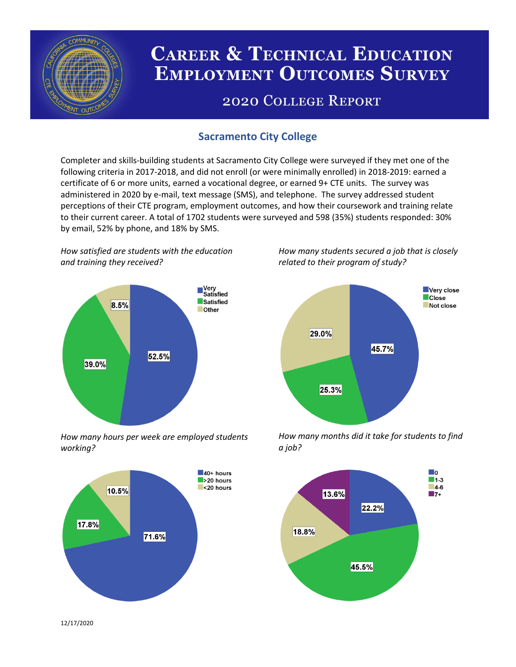

# **CAREER & TECHNICAL EDUCATION EMPLOYMENT OUTCOMES SURVEY**

## **2020 COLLEGE REPORT**

## **Sacramento City College**

Completer and skills-building students at Sacramento City College were surveyed if they met one of the following criteria in 2017-2018, and did not enroll (or were minimally enrolled) in 2018-2019: earned a certificate of 6 or more units, earned a vocational degree, or earned 9+ CTE units. The survey was administered in 2020 by e-mail, text message (SMS), and telephone. The survey addressed student perceptions of their CTE program, employment outcomes, and how their coursework and training relate to their current career. A total of 1702 students were surveyed and 598 (35%) students responded: 30% by email, 52% by phone, and 18% by SMS.

*How satisfied are students with the education and training they received?*



*How many hours per week are employed students working?*



*How many students secured a job that is closely related to their program of study?*



*How many months did it take for students to find a job?*



12/17/2020